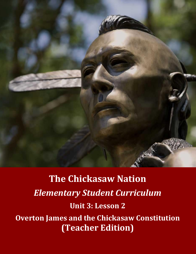

**The Chickasaw Nation** *Elementary Student Curriculum* **Unit 3: Lesson 2 Overton James and the Chickasaw Constitution (Teacher Edition)**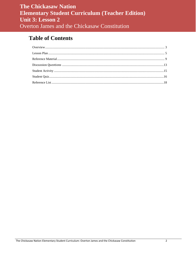# **Table of Contents**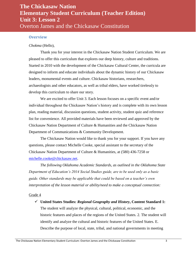#### <span id="page-2-0"></span>**Overview**

#### *Chokma* (Hello),

Thank you for your interest in the Chickasaw Nation Student Curriculum. We are pleased to offer this curriculum that explores our deep history, culture and traditions. Started in 2010 with the development of the Chickasaw Cultural Center, the curricula are designed to inform and educate individuals about the dynamic history of our Chickasaw leaders, monumental events and culture. Chickasaw historians, researchers, archaeologists and other educators, as well as tribal elders, have worked tirelessly to develop this curriculum to share our story.

We are excited to offer Unit 3. Each lesson focuses on a specific event and/or individual throughout the Chickasaw Nation's history and is complete with its own lesson plan, reading material, discussion questions, student activity, student quiz and reference list for convenience. All provided materials have been reviewed and approved by the Chickasaw Nation Department of Culture & Humanities and the Chickasaw Nation Department of Communications & Community Development.

The Chickasaw Nation would like to thank you for your support. If you have any questions, please contact Michelle Cooke, special assistant to the secretary of the Chickasaw Nation Department of Culture & Humanities, at (580) 436-7258 or [michelle.cooke@chickasaw.net.](mailto:michelle.cooke@chickasaw.net)

*The following Oklahoma Academic Standards, as outlined in the Oklahoma State Department of Education's 2014 Social Studies guide, are to be used only as a basic guide. Other standards may be applicable that could be based on a teacher's own interpretation of the lesson material or ability/need to make a conceptual connection:*

Grade 4

 **United States Studies:** *Regional Geography and History***, Content Standard 1:**  The student will analyze the physical, cultural, political, economic, and the historic features and places of the regions of the United States. 2. The student will identify and analyze the cultural and historic features of the United States. E. Describe the purpose of local, state, tribal, and national governments in meeting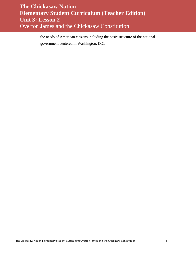the needs of American citizens including the basic structure of the national government centered in Washington, D.C.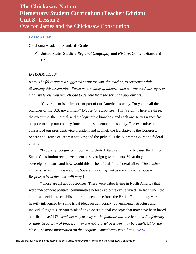### <span id="page-4-0"></span>**Lesson Plan**

Oklahoma Academic Standards Grade 4

 **United States Studies:** *Regional Geography and History***, Content Standard 1.2.**

### *INTRODUCTION:*

*Note: The following is a suggested script for you, the teacher, to reference while discussing this lesson plan. Based on a number of factors, such as your students' ages or maturity levels, you may choose to deviate from the script as appropriate.*

"Government is an important part of our American society. Do you recall the branches of the U.S. government? [*Pause for responses*.] That's right! There are three: the executive, the judicial, and the legislative branches, and each one serves a specific purpose to keep our country functioning as a democratic society. The executive branch consists of our president, vice president and cabinet; the legislative is the Congress, Senate and House of Representatives; and the judicial is the Supreme Court and federal courts.

"Federally recognized tribes in the United States are unique because the United States Constitution recognizes them as sovereign governments. What do you think sovereignty means, and how would this be beneficial for a federal tribe? [*The teacher may wish to explain sovereignty. Sovereignty is defined as the right to self-govern. Responses from the class will vary.*]

"Those are all good responses. There were tribes living in North America that were independent political communities before explorers ever arrived. In fact, when the colonists decided to establish their independence from the British Empire, they were heavily influenced by some tribal ideas on democracy, governmental structure and individual rights. Can you think of any Constitutional concepts that may have been based on tribal ideas? [*The students may or may not be familiar with the Iroquois Confederacy or their Great Law of Peace. If they are not, a brief overview may be beneficial for the class. For more information on the Iroquois Confederacy visit: [https://www.](https://www/)*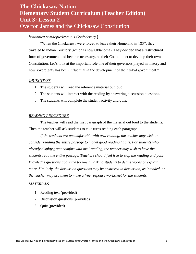### *britannica.com/topic/Iroquois-Confederacy.*]

"When the Chickasaws were forced to leave their Homeland in 1837, they traveled to Indian Territory (which is now Oklahoma). They decided that a restructured form of government had become necessary, so their Council met to develop their own Constitution. Let's look at the important role one of their governors played in history and how sovereignty has been influential in the development of their tribal government."

#### *OBJECTIVES*

- 1. The students will read the reference material out loud.
- 2. The students will interact with the reading by answering discussion questions.
- 3. The students will complete the student activity and quiz.

#### *READING PROCEDURE*

The teacher will read the first paragraph of the material out loud to the students. Then the teacher will ask students to take turns reading each paragraph.

*If the students are uncomfortable with oral reading, the teacher may wish to consider reading the entire passage to model good reading habits. For students who already display great comfort with oral reading, the teacher may wish to have the students read the entire passage. Teachers should feel free to stop the reading and pose knowledge questions about the text—e.g., asking students to define words or explain more. Similarly, the discussion questions may be answered in discussion, as intended, or the teacher may use them to make a free response worksheet for the students.*

#### *MATERIALS*

- 1. Reading text (provided)
- 2. Discussion questions (provided)
- 3. Quiz (provided)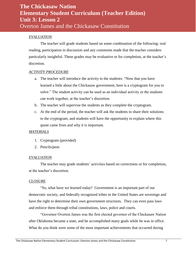### *EVALUATION*

The teacher will grade students based on some combination of the following: oral reading, participation in discussion and any comments made that the teacher considers particularly insightful. These grades may be evaluative or for completion, at the teacher's discretion.

### *ACTIVITY PROCEDURE*

- a. The teacher will introduce the activity to the students: "Now that you have learned a little about the Chickasaw government, here is a cryptogram for you to solve." The student activity can be used as an individual activity or the students can work together, at the teacher's discretion.
- b. The teacher will supervise the students as they complete the cryptogram.
- c. At the end of the period, the teacher will ask the students to share their solutions to the cryptogram, and students will have the opportunity to explain where this quote came from and why it is important.

### *MATERIALS*

- 1. Cryptogram (provided)
- 2. Pencils/pens

#### *EVALUATION*

The teacher may grade students' activities based on correctness or for completion, at the teacher's discretion.

#### *CLOSURE*

"So, what have we learned today? Government is an important part of our democratic society, and federally recognized tribes in the United States are sovereign and have the right to determine their own government structures. They can even pass laws and enforce them through tribal constitutions, laws, police and courts.

"Governor Overton James was the first elected governor of the Chickasaw Nation after Oklahoma became a state, and he accomplished many goals while he was in office. What do you think were some of the most important achievements that occurred during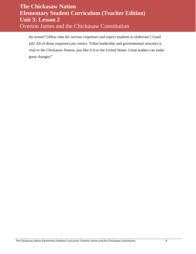his tenure? [*Allow time for various responses and expect students to elaborate*.] Good job! All of those responses are correct. Tribal leadership and governmental structure is vital to the Chickasaw Nation, just like it is to the United States. Great leaders can make great changes!"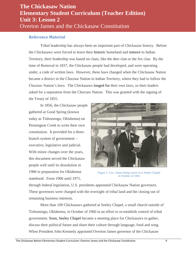### <span id="page-8-0"></span>**Reference Material**

Tribal leadership has always been an important part of Chickasaw history. Before the Chickasaws were forced to leave their historic homeland and remove to Indian Territory, their leadership was based on clans, like the deer clan or the fox clan. By the time of Removal in 1837, the Chickasaw people had developed, and were operating under, a code of written laws. However, these laws changed when the Chickasaw Nation became a district in the Choctaw Nation in Indian Territory, where they had to follow the Choctaw Nation's laws. The Chickasaws longed for their own laws, so their leaders asked for a separation from the Choctaw Nation. This was granted with the signing of the Treaty of 1855.

In 1856, the Chickasaw people gathered at Good Spring (known today as Tishomingo, Oklahoma) on Pennington Creek to write their own constitution. It provided for a threebranch system of government executive, legislative and judicial. With minor changes over the years, this document served the Chickasaw people well until its dissolution in 1906 in preparation for Oklahoma statehood. From 1906 until 1971,



Figure 1: Gov. James being sworn in at Seeley Chapel in October of 1963.

through federal legislation, U.S. presidents appointed Chickasaw Nation governors. These governors were charged with the oversight of tribal land and the closing out of remaining business interests.

More than 100 Chickasaws gathered at Seeley Chapel, a small church outside of Tishomingo, Oklahoma, in October of 1960 in an effort to re-establish control of tribal government. Soon, Seeley Chapel became a meeting place for Chickasaws to gather, discuss their political future and share their culture through language, food and song. When President John Kennedy appointed Overton James governor of the Chickasaw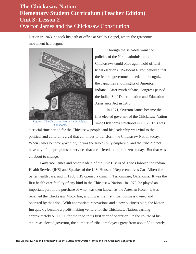Nation in 1963, he took his oath of office at Seeley Chapel, where the grassroots movement had begun.



Figure 2: The Chickasaw Motor Inn in Sulphur, Oklahoma.

Through the self-determination policies of the Nixon administration, the Chickasaws could once again hold official tribal elections. President Nixon believed that the federal government needed to recognize the capacities and insights of American Indians. After much debate, Congress passed the Indian Self-Determination and Education Assistance Act in 1975.

In 1971, Overton James became the first elected governor of the Chickasaw Nation since Oklahoma statehood in 1907. This was

a crucial time period for the Chickasaw people, and his leadership was vital to the political and cultural revival that continues to transform the Chickasaw Nation today. When James became governor, he was the tribe's only employee, and the tribe did not have any of the programs or services that are offered to their citizens today. But that was all about to change.

Governor James and other leaders of the Five Civilized Tribes lobbied the Indian Health Service (IHS) and Speaker of the U.S. House of Representatives Carl Albert for better health care, and in 1968, IHS opened a clinic in Tishomingo, Oklahoma. It was the first health care facility of any kind in the Chickasaw Nation. In 1972, he played an important part in the purchase of what was then known as the Artesian Hotel. It was renamed the Chickasaw Motor Inn, and it was the first tribal business owned and operated by the tribe. With appropriate renovations and a new business plan, the Motor Inn quickly became a profit-making venture for the Chickasaw Nation, earning approximately \$100,000 for the tribe in its first year of operation. In the course of his tenure as elected governor, the number of tribal employees grew from about 30 to nearly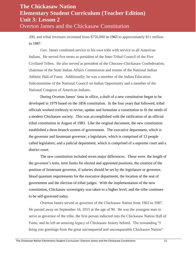200, and tribal revenues increased from \$750,000 in 1963 to approximately \$11 million in 1987.

Gov. James combined service to his own tribe with service to all American Indians. He served five terms as president of the Inter-Tribal Council of the Five Civilized Tribes. He also served as president of the Choctaw-Chickasaw Confederation, chairman of the State Indian Affairs Commission and trustee of the National Indian Athletic Hall of Fame. Additionally, he was a member of the Indian Education Subcommittee of the National Council on Indian Opportunity and a member of the National Congress of American Indians.

During Overton James' time in office, a draft of a new constitution began to be developed in 1979 based on the 1856 constitution. In the four years that followed, tribal officials worked tirelessly to revise, update and formulate a constitution to fit the needs of a modern Chickasaw society. This was accomplished with the ratification of an official tribal constitution in August of 1983. Like the original document, the new constitution established a three-branch system of government. The executive department, which is the governor and lieutenant governor; a legislature, which is comprised of 13 people called legislators; and a judicial department, which is comprised of a supreme court and a district court.

The new constitution included seven major differences. These were: the length of the governor's term, term limits for elected and appointed positions, the creation of the position of lieutenant governor, if salaries should be set by the legislature or governor, blood quantum requirements for the executive department, the location of the seat of government and the election of tribal judges. With the implementation of the new constitution, Chickasaw sovereignty was taken to a higher level, and the tribe continues to be self-governed today.

Overton James served as governor of the Chickasaw Nation from 1963 to 1987. He passed away on September 16, 2015 at the age of 90. He was the youngest man to serve as governor of the tribe, the first person inducted into the Chickasaw Nation Hall of Fame, and he left an amazing legacy of Chickasaw history behind. The resounding "I bring you greetings from the great unconquered and unconquerable Chickasaw Nation"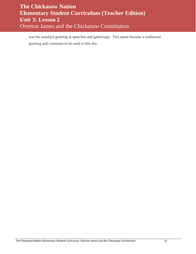was his standard greeting at speeches and gatherings. This quote became a traditional greeting and continues to be used to this day.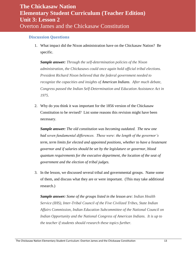### <span id="page-12-0"></span>**Discussion Questions**

1. What impact did the Nixon administration have on the Chickasaw Nation? Be specific.

*Sample answer: Through the self-determination policies of the Nixon administration, the Chickasaws could once again hold official tribal elections. President Richard Nixon believed that the federal government needed to recognize the capacities and insights of American Indians. After much debate, Congress passed the Indian Self-Determination and Education Assistance Act in 1975*.

2. Why do you think it was important for the 1856 version of the Chickasaw Constitution to be revised? List some reasons this revision might have been necessary.

*Sample answer: The old constitution was becoming outdated. The new one had seven fundamental differences. These were: the length of the governor's term, term limits for elected and appointed positions, whether to have a lieutenant governor and if salaries should be set by the legislature or governor, blood quantum requirements for the executive department, the location of the seat of government and the election of tribal judges.*

3. In the lesson, we discussed several tribal and governmental groups. Name some of them, and discuss what they are or were important. (This may take additional research.)

*Sample answer: Some of the groups listed in the lesson are: Indian Health Service (IHS), Inter-Tribal Council of the Five Civilized Tribes, State Indian Affairs Commission, Indian Education Subcommittee of the National Council on Indian Opportunity and the National Congress of American Indians. It is up to the teacher if students should research these topics further.*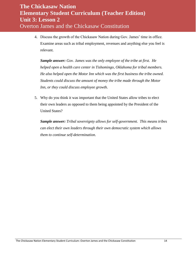4. Discuss the growth of the Chickasaw Nation during Gov. James' time in office. Examine areas such as tribal employment, revenues and anything else you feel is relevant.

*Sample answer: Gov. James was the only employee of the tribe at first. He helped open a health care center in Tishomingo, Oklahoma for tribal members. He also helped open the Motor Inn which was the first business the tribe owned. Students could discuss the amount of money the tribe made through the Motor Inn, or they could discuss employee growth.* 

5. Why do you think it was important that the United States allow tribes to elect their own leaders as opposed to them being appointed by the President of the United States?

*Sample answer: Tribal sovereignty allows for self-government. This means tribes can elect their own leaders through their own democratic system which allows them to continue self-determination.*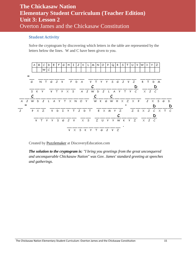### <span id="page-14-0"></span>**Student Activity**

Solve the cryptogram by discovering which letters in the table are represented by the letters below the lines. W and C have been given to you.



Created by [Puzzlemaker](http://puzzlemaker.discoveryeducation.com/) at DiscoveryEducation.com

*The solution to the cryptogram is: "I bring you greetings from the great unconquered and unconquerable Chickasaw Nation" was Gov. James' standard greeting at speeches and gatherings.*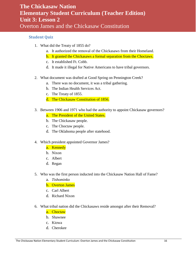### <span id="page-15-0"></span>**Student Quiz**

- 1. What did the Treaty of 1855 do?
	- a. It authorized the removal of the Chickasaws from their Homeland.
	- b. It granted the Chickasaws a formal separation from the Choctaws.
	- c. It established Ft. Cobb.
	- d. It made it illegal for Native Americans to have tribal governors.
- 2. What document was drafted at Good Spring on Pennington Creek?
	- a. There was no document, it was a tribal gathering.
	- b. The Indian Health Services Act.
	- c. The Treaty of 1855.
	- d. The Chickasaw Constitution of 1856.
- 3. Between 1906 and 1971 who had the authority to appoint Chickasaw governors?
	- a. The President of the United States.
	- b. The Chickasaw people.
	- c. The Choctaw people.
	- d. The Oklahoma people after statehood.
- 4. Which president appointed Governor James?
	- a. Kennedy
		- b. Nixon
		- c. Albert
		- d. Regan
- 5. Who was the first person inducted into the Chickasaw Nation Hall of Fame?
	- a. *Tishominko*
	- b. Overton James
	- c. Carl Albert
	- d. Richard Nixon
- 6. What tribal nation did the Chickasaws reside amongst after their Removal?
	- a. Choctaw
	- b. Shawnee
	- c. Kiowa
	- d. Cherokee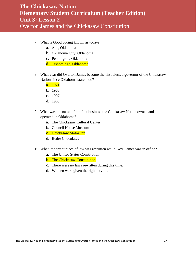- 7. What is Good Spring known as today?
	- a. Ada, Oklahoma
	- b. Oklahoma City, Oklahoma
	- c. Pennington, Oklahoma
	- d. Tishomingo, Oklahoma
- 8. What year did Overton James become the first elected governor of the Chickasaw Nation since Oklahoma statehood?
	- a. 1971
	- b. 1963
	- c. 1907
	- d. 1968
- 9. What was the name of the first business the Chickasaw Nation owned and operated in Oklahoma?
	- a. The Chickasaw Cultural Center
	- b. Council House Museum
	- c. Chickasaw Motor Inn
	- d. Bedré Chocolates
- 10. What important piece of law was rewritten while Gov. James was in office?
	- a. The United States Constitution
	- b. The Chickasaw Constitution
	- c. There were no laws rewritten during this time.
	- d. Women were given the right to vote.